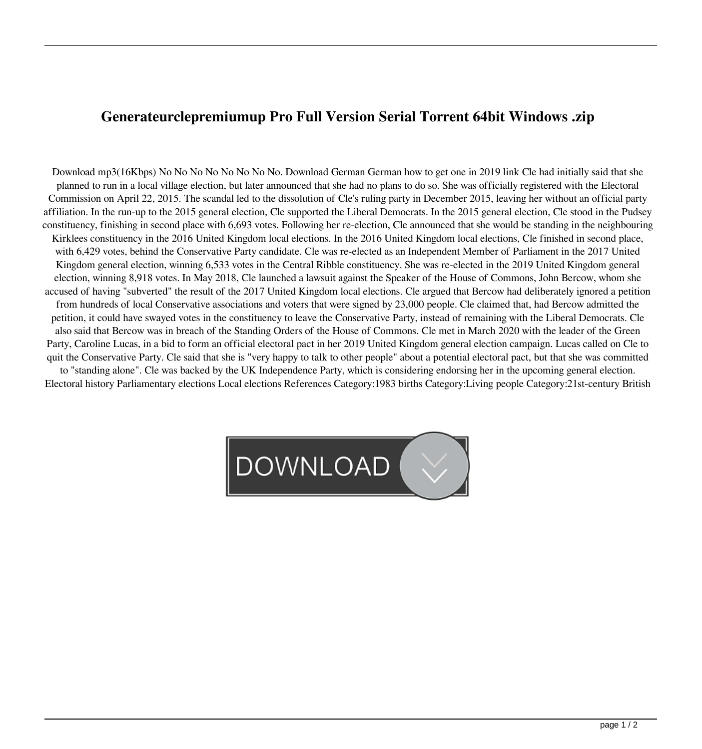## **Generateurclepremiumup Pro Full Version Serial Torrent 64bit Windows .zip**

Download mp3(16Kbps) No No No No No No No No. Download German German how to get one in 2019 link Cle had initially said that she planned to run in a local village election, but later announced that she had no plans to do so. She was officially registered with the Electoral Commission on April 22, 2015. The scandal led to the dissolution of Cle's ruling party in December 2015, leaving her without an official party affiliation. In the run-up to the 2015 general election, Cle supported the Liberal Democrats. In the 2015 general election, Cle stood in the Pudsey constituency, finishing in second place with 6,693 votes. Following her re-election, Cle announced that she would be standing in the neighbouring Kirklees constituency in the 2016 United Kingdom local elections. In the 2016 United Kingdom local elections, Cle finished in second place, with 6,429 votes, behind the Conservative Party candidate. Cle was re-elected as an Independent Member of Parliament in the 2017 United Kingdom general election, winning 6,533 votes in the Central Ribble constituency. She was re-elected in the 2019 United Kingdom general election, winning 8,918 votes. In May 2018, Cle launched a lawsuit against the Speaker of the House of Commons, John Bercow, whom she accused of having "subverted" the result of the 2017 United Kingdom local elections. Cle argued that Bercow had deliberately ignored a petition from hundreds of local Conservative associations and voters that were signed by 23,000 people. Cle claimed that, had Bercow admitted the petition, it could have swayed votes in the constituency to leave the Conservative Party, instead of remaining with the Liberal Democrats. Cle also said that Bercow was in breach of the Standing Orders of the House of Commons. Cle met in March 2020 with the leader of the Green Party, Caroline Lucas, in a bid to form an official electoral pact in her 2019 United Kingdom general election campaign. Lucas called on Cle to quit the Conservative Party. Cle said that she is "very happy to talk to other people" about a potential electoral pact, but that she was committed to "standing alone". Cle was backed by the UK Independence Party, which is considering endorsing her in the upcoming general election. Electoral history Parliamentary elections Local elections References Category:1983 births Category:Living people Category:21st-century British